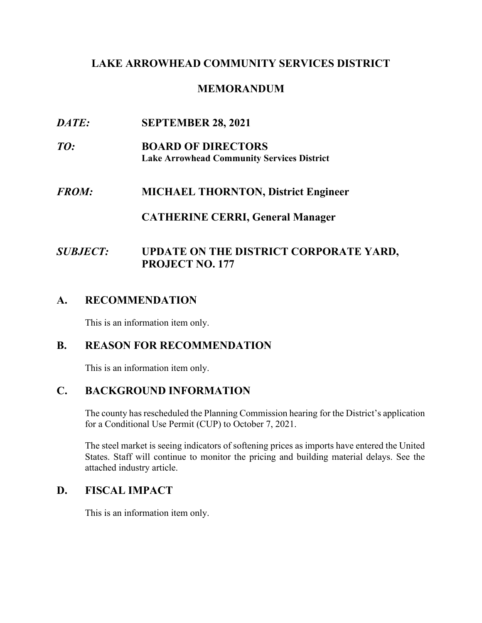#### **LAKE ARROWHEAD COMMUNITY SERVICES DISTRICT**

### **MEMORANDUM**

- *DATE:* **SEPTEMBER 28, 2021**
- *TO:* **BOARD OF DIRECTORS Lake Arrowhead Community Services District**
- $FROM:$ *FROM:* **MICHAEL THORNTON, District Engineer**

#### **CATHERINE CERRI, General Manager**

# *SUBJECT:* **UPDATE ON THE DISTRICT CORPORATE YARD, PROJECT NO. 177**

## **A. RECOMMENDATION**

This is an information item only.

#### **B. REASON FOR RECOMMENDATION**

This is an information item only.

#### **C. BACKGROUND INFORMATION**

The county has rescheduled the Planning Commission hearing for the District's application for a Conditional Use Permit (CUP) to October 7, 2021.

The steel market is seeing indicators of softening prices as imports have entered the United States. Staff will continue to monitor the pricing and building material delays. See the attached industry article.

#### **D. FISCAL IMPACT**

This is an information item only.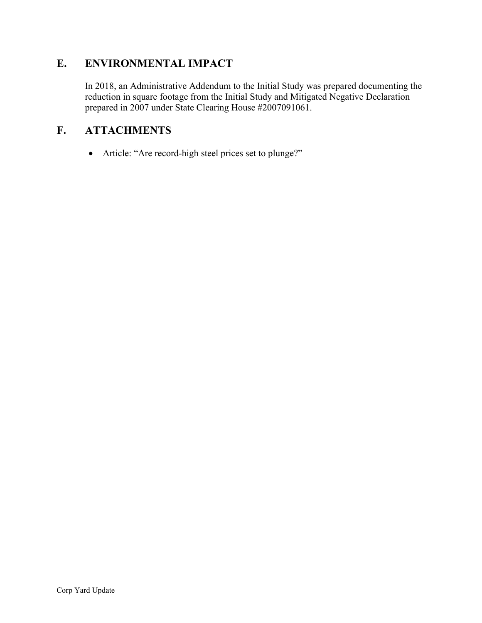# **E. ENVIRONMENTAL IMPACT**

In 2018, an Administrative Addendum to the Initial Study was prepared documenting the reduction in square footage from the Initial Study and Mitigated Negative Declaration prepared in 2007 under State Clearing House #2007091061.

## **F. ATTACHMENTS**

• Article: "Are record-high steel prices set to plunge?"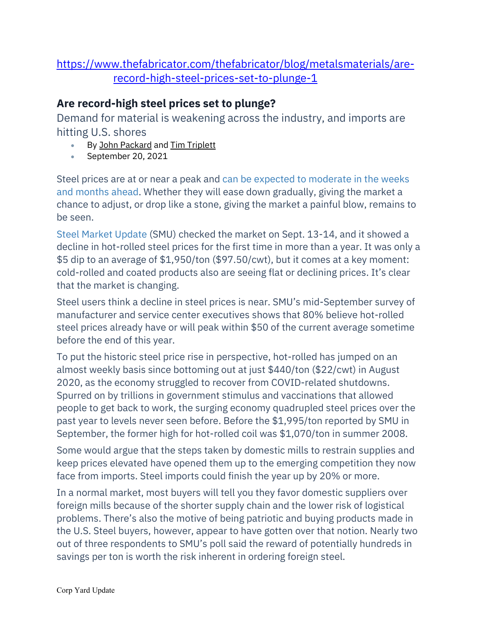# [https://www.thefabricator.com/thefabricator/blog/metalsmaterials/are](https://www.thefabricator.com/thefabricator/blog/metalsmaterials/are-record-high-steel-prices-set-to-plunge-1)[record-high-steel-prices-set-to-plunge-1](https://www.thefabricator.com/thefabricator/blog/metalsmaterials/are-record-high-steel-prices-set-to-plunge-1)

# **Are record-high steel prices set to plunge?**

Demand for material is weakening across the industry, and imports are hitting U.S. shores

- By [John Packard](https://www.thefabricator.com/author/john-packard) and Tim Triplett
- September 20, 2021

Steel prices are at or near a peak and [can be expected to moderate in the weeks](https://www.thefabricator.com/thefabricator/blog/metalsmaterials/what-if-steel-prices-dont-return-to-normal)  [and months ahead.](https://www.thefabricator.com/thefabricator/blog/metalsmaterials/what-if-steel-prices-dont-return-to-normal) Whether they will ease down gradually, giving the market a chance to adjust, or drop like a stone, giving the market a painful blow, remains to be seen.

[Steel Market Update](http://www.steelmarketupdate.com/) (SMU) checked the market on Sept. 13-14, and it showed a decline in hot-rolled steel prices for the first time in more than a year. It was only a \$5 dip to an average of \$1,950/ton (\$97.50/cwt), but it comes at a key moment: cold-rolled and coated products also are seeing flat or declining prices. It's clear that the market is changing.

Steel users think a decline in steel prices is near. SMU's mid-September survey of manufacturer and service center executives shows that 80% believe hot-rolled steel prices already have or will peak within \$50 of the current average sometime before the end of this year.

To put the historic steel price rise in perspective, hot-rolled has jumped on an almost weekly basis since bottoming out at just \$440/ton (\$22/cwt) in August 2020, as the economy struggled to recover from COVID-related shutdowns. Spurred on by trillions in government stimulus and vaccinations that allowed people to get back to work, the surging economy quadrupled steel prices over the past year to levels never seen before. Before the \$1,995/ton reported by SMU in September, the former high for hot-rolled coil was \$1,070/ton in summer 2008.

Some would argue that the steps taken by domestic mills to restrain supplies and keep prices elevated have opened them up to the emerging competition they now face from imports. Steel imports could finish the year up by 20% or more.

In a normal market, most buyers will tell you they favor domestic suppliers over foreign mills because of the shorter supply chain and the lower risk of logistical problems. There's also the motive of being patriotic and buying products made in the U.S. Steel buyers, however, appear to have gotten over that notion. Nearly two out of three respondents to SMU's poll said the reward of potentially hundreds in savings per ton is worth the risk inherent in ordering foreign steel.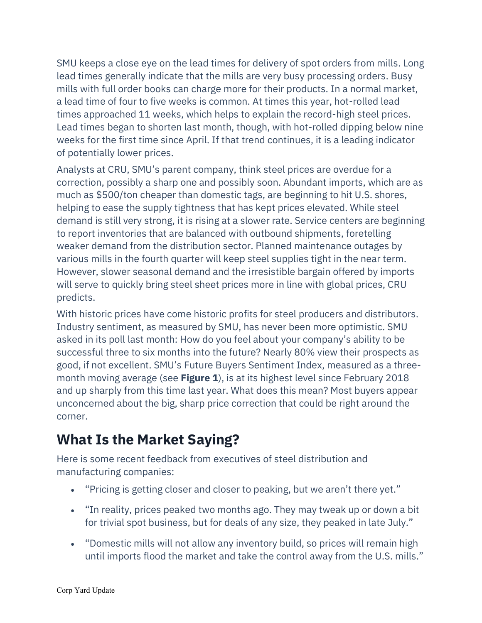SMU keeps a close eye on the lead times for delivery of spot orders from mills. Long lead times generally indicate that the mills are very busy processing orders. Busy mills with full order books can charge more for their products. In a normal market, a lead time of four to five weeks is common. At times this year, hot-rolled lead times approached 11 weeks, which helps to explain the record-high steel prices. Lead times began to shorten last month, though, with hot-rolled dipping below nine weeks for the first time since April. If that trend continues, it is a leading indicator of potentially lower prices.

 various mills in the fourth quarter will keep steel supplies tight in the near term. Analysts at CRU, SMU's parent company, think steel prices are overdue for a correction, possibly a sharp one and possibly soon. Abundant imports, which are as much as \$500/ton cheaper than domestic tags, are beginning to hit U.S. shores, helping to ease the supply tightness that has kept prices elevated. While steel demand is still very strong, it is rising at a slower rate. Service centers are beginning to report inventories that are balanced with outbound shipments, foretelling weaker demand from the distribution sector. Planned maintenance outages by However, slower seasonal demand and the irresistible bargain offered by imports will serve to quickly bring steel sheet prices more in line with global prices, CRU predicts.

With historic prices have come historic profits for steel producers and distributors. Industry sentiment, as measured by SMU, has never been more optimistic. SMU asked in its poll last month: How do you feel about your company's ability to be successful three to six months into the future? Nearly 80% view their prospects as good, if not excellent. SMU's Future Buyers Sentiment Index, measured as a threemonth moving average (see **Figure 1**), is at its highest level since February 2018 and up sharply from this time last year. What does this mean? Most buyers appear unconcerned about the big, sharp price correction that could be right around the corner.

# **What Is the Market Saying?**

Here is some recent feedback from executives of steel distribution and manufacturing companies:

- "Pricing is getting closer and closer to peaking, but we aren't there yet."
- • "In reality, prices peaked two months ago. They may tweak up or down a bit for trivial spot business, but for deals of any size, they peaked in late July."
- "Domestic mills will not allow any inventory build, so prices will remain high until imports flood the market and take the control away from the U.S. mills."